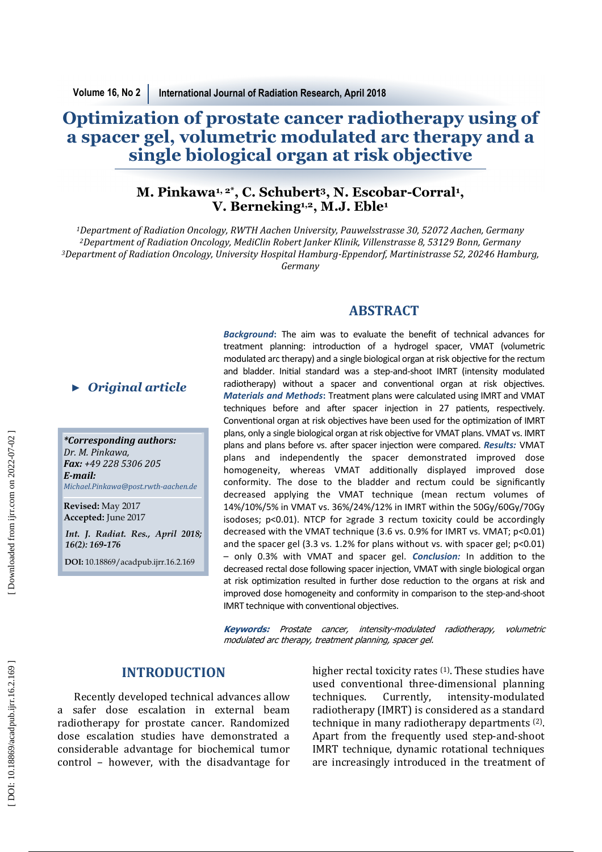# **Optimization of prostate cancer radiotherapy using of a spacer gel, volumetric modulated arc therapy and a single biological organ at risk objective**

## **M. Pinkawa1, 2\*, C. Schubert <sup>3</sup>, N. Escobar-Corral 1 , V. Berneking1,2, M.J. Eble<sup>1</sup>**

*<sup>1</sup>Department of Radiation Oncology, RWTH Aachen University, Pauwelsstrasse 30, 52072 Aachen, Germany*  <sup>2</sup>*Department of Radiation Oncology, MediClin Robert Janker Klinik, Villenstrasse 8, 53129 Bonn, Germany* <sup>3</sup>Department of Radiation Oncology, University Hospital Hamburg-Eppendorf, Martinistrasse 52, 20246 Hamburg, *Germany* 

## **ABSTRACT**

*\*Corresponding authors:* Dr. M. Pinkawa, *Fax: +49 228 5306 205 E-mail: Michael.Pinkawa@post.rwth-aachen.de*  ► *Original article*<br> *\*Corresponding authors:*<br> *Dr. M. Pinkawa,*<br> **Fax:** +49 228 5306 205<br> **E-mail:**<br>
Michael.Pinkawa@post.rwth-aachen.<br>
Revised: May 2017<br>
Accepted: June 2017<br> *Int. J. Radiat. Res., April 20*<br>
16(2): 1

**Revised:** May 2017 **Accepted:** June 2017

*Int. J. Radiat. Res., April 2018;* 

**DOI:** 10.18869/acadpub.ijrr.16.2.169

*Background* **:** The aim was to evaluate the benefit of technical advances for treatment planning: introduction of a hydrogel spacer, VMAT (volumetric modulated arc therapy) and a single biological organ at risk objective for the rectum and bladder. Initial standard was a step-and-shoot IMRT (intensity modulated radiotherapy) without a spacer and conventional organ at risk objectives. *Materials and Methods***:** Treatment plans were calculated using IMRT and VMAT techniques before and after spacer injection in 27 patients, respectively. Conventional organ at risk objectives have been used for the optimization of IMRT plans, only a single biological organ at risk objective for VMAT plans. VMAT vs. IMRT plans and plans before vs. after spacer injection were compared. *Results:* VMAT plans and independently the spacer demonstrated improved dose homogeneity, whereas VMAT additionally displayed improved dose conformity. The dose to the bladder and rectum could be significantly decreased applying the VMAT technique (mean rectum volumes of 14%/10%/5% in VMAT vs. 36%/24%/12% in IMRT within the 50Gy/60Gy/70Gy isodoses;  $p$ <0.01). NTCP for ≥grade 3 rectum toxicity could be accordingly decreased with the VMAT technique (3.6 vs. 0.9% for IMRT vs. VMAT; p<0.01) and the spacer gel (3.3 vs. 1.2% for plans without vs. with spacer gel; p<0.01) – only 0.3% with VMAT and spacer gel. *Conclusion:* In addition to the decreased rectal dose following spacer injection, VMAT with single biological organ at risk optimization resulted in further dose reduction to the organs at risk and improved dose homogeneity and conformity in comparison to the step-and-shoot IMRT technique with conventional objectives.

**Keywords:** Prostate cancer, intensity-modulated radiotherapy, volumetric modulated arc therapy, treatment planning, spacer gel.

## **INTRODUCTION**

Recently developed technical advances allow a safer dose escalation in external beam radiotherapy for prostate cancer. Randomized dose escalation studies have demonstrated a considerable advantage for biochemical tumor control - however, with the disadvantage for higher rectal toxicity rates  $(1)$ . These studies have used conventional three-dimensional planning techniques. Currently, intensity-modulated radiotherapy (IMRT) is considered as a standard technique in many radiotherapy departments<sup>(2)</sup>. Apart from the frequently used step-and-shoot IMRT technique, dynamic rotational techniques are increasingly introduced in the treatment of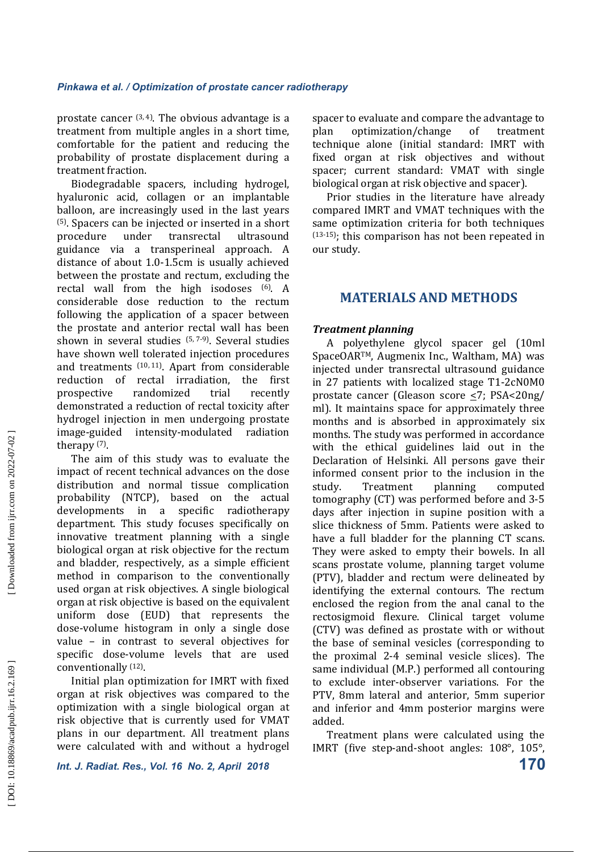prostate cancer  $(3, 4)$ . The obvious advantage is a treatment from multiple angles in a short time, comfortable for the patient and reducing the probability of prostate displacement during a treatment fraction.

Biodegradable spacers, including hydrogel, hyaluronic acid, collagen or an implantable balloon, are increasingly used in the last years  $(5)$ . Spacers can be injected or inserted in a short procedure under transrectal ultrasound guidance via a transperineal approach. A distance of about 1.0-1.5cm is usually achieved between the prostate and rectum, excluding the rectal wall from the high isodoses (6). A considerable dose reduction to the rectum following the application of a spacer between the prostate and anterior rectal wall has been shown in several studies  $(5, 7-9)$ . Several studies have shown well tolerated injection procedures and treatments  $(10, 11)$ . Apart from considerable reduction of rectal irradiation, the first prospective randomized trial recently demonstrated a reduction of rectal toxicity after hydrogel injection in men undergoing prostate image-guided intensity-modulated radiation therapy (7).

The aim of this study was to evaluate the impact of recent technical advances on the dose distribution and normal tissue complication probability (NTCP), based on the actual developments in a specific radiotherapy department. This study focuses specifically on innovative treatment planning with a single biological organ at risk objective for the rectum and bladder, respectively, as a simple efficient method in comparison to the conventionally used organ at risk objectives. A single biological organ at risk objective is based on the equivalent uniform dose (EUD) that represents the dose-volume histogram in only a single dose value  $-$  in contrast to several objectives for specific dose-volume levels that are used conventionally (12).

Initial plan optimization for IMRT with fixed organ at risk objectives was compared to the optimization with a single biological organ at risk objective that is currently used for VMAT plans in our department. All treatment plans were calculated with and without a hydrogel spacer to evaluate and compare the advantage to plan optimization/change of treatment technique alone (initial standard: IMRT with fixed organ at risk objectives and without spacer; current standard: VMAT with single biological organ at risk objective and spacer).

Prior studies in the literature have already compared IMRT and VMAT techniques with the same optimization criteria for both techniques  $(13-15)$ ; this comparison has not been repeated in our study.

## **MATERIALS AND METHODS**

### **Treatment planning**

A polyethylene glycol spacer gel (10ml SpaceOAR<sup>TM</sup>, Augmenix Inc., Waltham, MA) was injected under transrectal ultrasound guidance in 27 patients with localized stage T1-2cN0M0 prostate cancer (Gleason score <7; PSA<20ng/ ml). It maintains space for approximately three months and is absorbed in approximately six months. The study was performed in accordance with the ethical guidelines laid out in the Declaration of Helsinki. All persons gave their informed consent prior to the inclusion in the study. Treatment planning computed tomography (CT) was performed before and 3-5 days after injection in supine position with a slice thickness of 5mm. Patients were asked to have a full bladder for the planning CT scans. They were asked to empty their bowels. In all scans prostate volume, planning target volume (PTV), bladder and rectum were delineated by identifying the external contours. The rectum enclosed the region from the anal canal to the rectosigmoid flexure. Clinical target volume (CTV) was defined as prostate with or without the base of seminal vesicles (corresponding to the proximal 2-4 seminal vesicle slices). The same individual (M.P.) performed all contouring to exclude inter-observer variations. For the PTV, 8mm lateral and anterior, 5mm superior and inferior and 4mm posterior margins were added. 

Treatment plans were calculated using the IMRT (five step-and-shoot angles:  $108^\circ$ ,  $105^\circ$ ,

*Int. J. Radiat. Res., Vol. 16 No. 2, April 2018*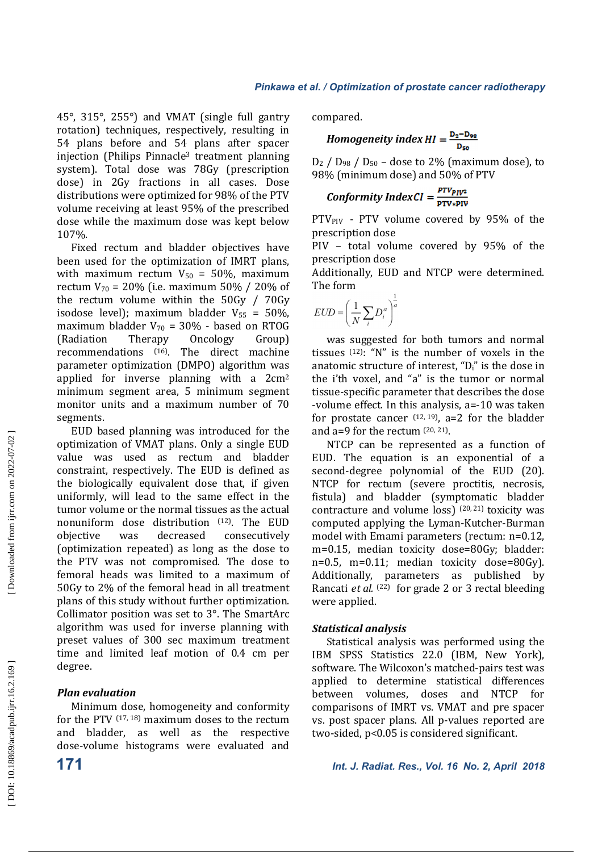$45^\circ$ ,  $315^\circ$ ,  $255^\circ$ ) and VMAT (single full gantry rotation) techniques, respectively, resulting in 54 plans before and 54 plans after spacer  $\overrightarrow{F}$ injection (Philips Pinnacle<sup>3</sup> treatment planning system). Total dose was 78Gy (prescription dose) in 2Gy fractions in all cases. Dose distributions were optimized for 98% of the PTV volume receiving at least 95% of the prescribed dose while the maximum dose was kept below 107%. 

Fixed rectum and bladder objectives have been used for the optimization of IMRT plans, with maximum rectum  $V_{50} = 50\%$ , maximum rectum  $V_{70} = 20\%$  (i.e. maximum 50% / 20% of the rectum volume within the  $50Gy / 70Gy$ isodose level); maximum bladder  $V_{55} = 50\%$ , maximum bladder  $V_{70}$  = 30% - based on RTOG (Radiation Therapy Oncology Group) recommendations (16). The direct machine parameter optimization (DMPO) algorithm was applied for inverse planning with a  $2 \text{cm}^2$ minimum segment area, 5 minimum segment monitor units and a maximum number of 70 segments. 

EUD based planning was introduced for the optimization of VMAT plans. Only a single EUD value was used as rectum and bladder constraint, respectively. The EUD is defined as the biologically equivalent dose that, if given uniformly, will lead to the same effect in the tumor volume or the normal tissues as the actual nonuniform dose distribution <sup>(12)</sup>. The EUD objective was decreased consecutively (optimization repeated) as long as the dose to the PTV was not compromised. The dose to femoral heads was limited to a maximum of 50Gy to 2% of the femoral head in all treatment plans of this study without further optimization. Collimator position was set to  $3^\circ$ . The SmartArc algorithm was used for inverse planning with preset values of 300 sec maximum treatment time and limited leaf motion of 0.4 cm per degree. 

### *Plan evaluation*

Minimum dose, homogeneity and conformity for the PTV  $(17, 18)$  maximum doses to the rectum and bladder, as well as the respective dose-volume histograms were evaluated and compared. 

$$
Homogeneity\ index\ HI = \frac{D_2 - D_{98}}{D_{50}}
$$

 $D_2$  /  $D_{98}$  /  $D_{50}$  – dose to 2% (maximum dose), to 98% (minimum dose) and 50% of PTV

$$
Conformity IndexCI = \frac{p_{TVp_{IV2}}}{p_{TV*PIV}}
$$

 $PTV_{PIV}$  - PTV volume covered by 95% of the prescription dose

PIV - total volume covered by 95% of the prescription dose

Additionally, EUD and NTCP were determined. The form

$$
EUD = \left(\frac{1}{N}\sum_{i} D_i^a\right)^{\frac{1}{a}}
$$

was suggested for both tumors and normal tissues  $(12)$ : "N" is the number of voxels in the anatomic structure of interest, " $D_i$ " is the dose in the i'th voxel, and "a" is the tumor or normal tissue-specific parameter that describes the dose -volume effect. In this analysis, a=-10 was taken for prostate cancer  $(12, 19)$ , a=2 for the bladder and  $a=9$  for the rectum  $(20, 21)$ .

NTCP can be represented as a function of EUD. The equation is an exponential of a second-degree polynomial of the EUD (20). NTCP for rectum (severe proctitis, necrosis, fistula) and bladder (symptomatic bladder contracture and volume  $loss$ ) (20, 21) toxicity was computed applying the Lyman-Kutcher-Burman model with Emami parameters (rectum: n=0.12, m=0.15, median toxicity dose=80Gy; bladder:  $n=0.5$ ,  $m=0.11$ ; median toxicity dose=80Gy). Additionally, parameters as published by Rancati *et al.* <sup>(22)</sup> for grade 2 or 3 rectal bleeding were applied.

### *Statistical analysis*

Statistical analysis was performed using the IBM SPSS Statistics 22.0 (IBM, New York), software. The Wilcoxon's matched-pairs test was applied to determine statistical differences between volumes, doses and NTCP for comparisons of IMRT vs. VMAT and pre spacer vs. post spacer plans. All p-values reported are two-sided,  $p<0.05$  is considered significant.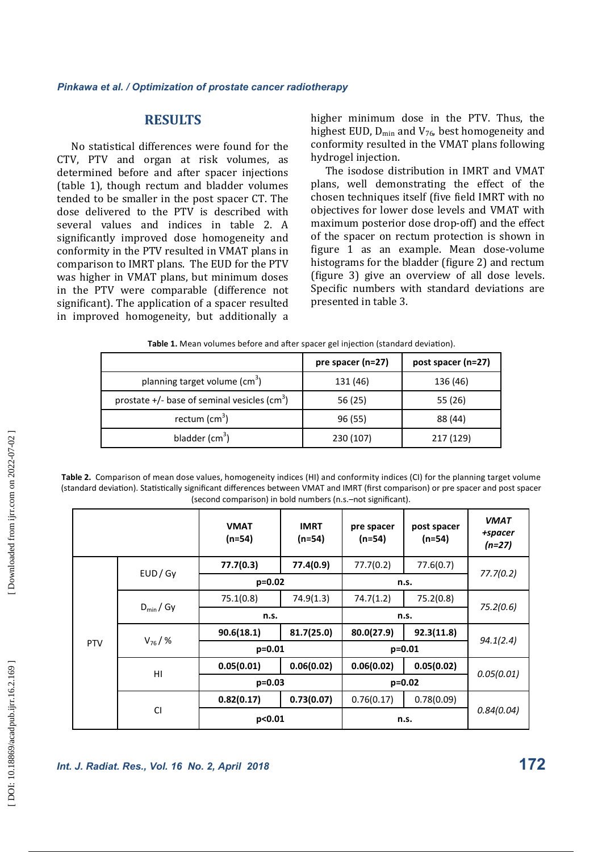## **RESULTS**

No statistical differences were found for the CTV, PTV and organ at risk volumes, as determined before and after spacer injections (table 1), though rectum and bladder volumes tended to be smaller in the post spacer CT. The dose delivered to the PTV is described with several values and indices in table 2. A significantly improved dose homogeneity and conformity in the PTV resulted in VMAT plans in comparison to IMRT plans. The EUD for the PTV was higher in VMAT plans, but minimum doses in the PTV were comparable (difference not significant). The application of a spacer resulted in improved homogeneity, but additionally a

higher minimum dose in the PTV. Thus, the highest EUD,  $D_{min}$  and  $V_{76}$ , best homogeneity and conformity resulted in the VMAT plans following hydrogel injection.

The isodose distribution in IMRT and VMAT plans, well demonstrating the effect of the chosen techniques itself (five field IMRT with no objectives for lower dose levels and VMAT with maximum posterior dose drop-off) and the effect of the spacer on rectum protection is shown in figure 1 as an example. Mean dose-volume histograms for the bladder (figure 2) and rectum (figure 3) give an overview of all dose levels. Specific numbers with standard deviations are presented in table 3.

|                                                            | pre spacer (n=27) | post spacer (n=27) |
|------------------------------------------------------------|-------------------|--------------------|
| planning target volume (cm <sup>3</sup> )                  | 131 (46)          | 136 (46)           |
| prostate $+/-$ base of seminal vesicles (cm <sup>3</sup> ) | 56 (25)           | 55 (26)            |
| rectum (cm <sup>3</sup> )                                  | 96 (55)           | 88 (44)            |
| bladder $(cm3)$                                            | 230 (107)         | 217 (129)          |

**Table 2.** Comparison of mean dose values, homogeneity indices (HI) and conformity indices (CI) for the planning target volume (standard deviation). Statistically significant differences between VMAT and IMRT (first comparison) or pre spacer and post spacer (second comparison) in bold numbers (n.s.–not significant).

|            |                 | <b>VMAT</b><br>$(n=54)$ | <b>IMRT</b><br>$(n=54)$ | pre spacer<br>$(n=54)$ | post spacer<br>$(n=54)$ | <b>VMAT</b><br>+spacer<br>$(n=27)$ |
|------------|-----------------|-------------------------|-------------------------|------------------------|-------------------------|------------------------------------|
| <b>PTV</b> | EUD/Gy          | 77.7(0.3)               | 77.4(0.9)               | 77.7(0.2)              | 77.6(0.7)               |                                    |
|            |                 | $p=0.02$                |                         | n.s.                   |                         | 77.7(0.2)                          |
|            | $D_{\min}$ / Gy | 75.1(0.8)               | 74.9(1.3)               | 74.7(1.2)              | 75.2(0.8)               |                                    |
|            |                 | n.s.                    |                         | n.s.                   |                         | 75.2(0.6)                          |
|            | $V_{76}$ /%     | 90.6(18.1)              | 81.7(25.0)              | 80.0(27.9)             | 92.3(11.8)              |                                    |
|            |                 | $p=0.01$                |                         | $p = 0.01$             |                         | 94.1(2.4)                          |
|            | HI              | 0.05(0.01)              | 0.06(0.02)              | 0.06(0.02)             | 0.05(0.02)              |                                    |
|            |                 | $p=0.03$                |                         | $p=0.02$               |                         | 0.05(0.01)                         |
|            | <b>CI</b>       | 0.82(0.17)              | 0.73(0.07)              | 0.76(0.17)             | 0.78(0.09)              |                                    |
|            |                 | p<0.01                  |                         | n.s.                   |                         | 0.84(0.04)                         |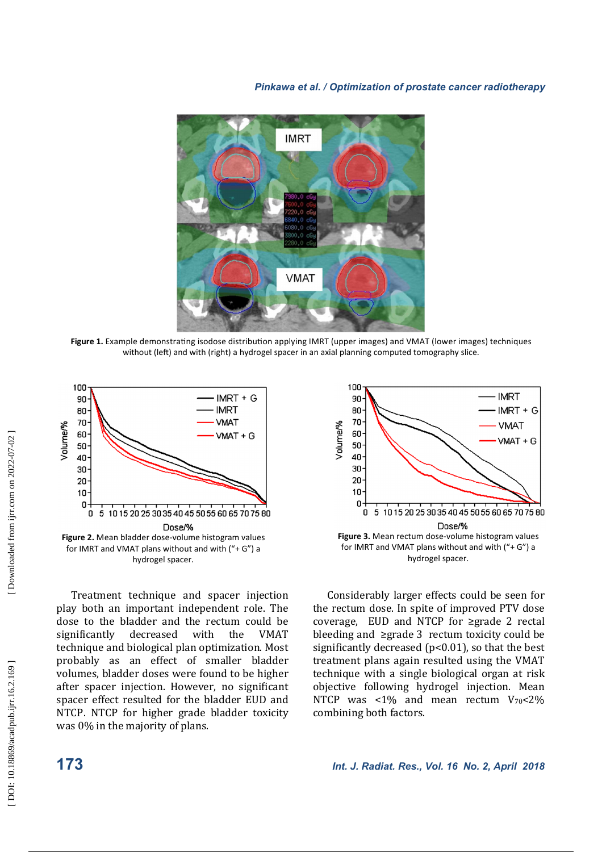

Figure 1. Example demonstrating isodose distribution applying IMRT (upper images) and VMAT (lower images) techniques without (left) and with (right) a hydrogel spacer in an axial planning computed tomography slice.



Treatment technique and spacer injection play both an important independent role. The dose to the bladder and the rectum could be significantly decreased with the VMAT technique and biological plan optimization. Most probably as an effect of smaller bladder volumes, bladder doses were found to be higher after spacer injection. However, no significant spacer effect resulted for the bladder EUD and NTCP. NTCP for higher grade bladder toxicity was  $0\%$  in the majority of plans.



Considerably larger effects could be seen for the rectum dose. In spite of improved PTV dose coverage, EUD and NTCP for  $\geq$ grade 2 rectal bleeding and  $\geq$ grade 3 rectum toxicity could be significantly decreased  $(p<0.01)$ , so that the best treatment plans again resulted using the VMAT technique with a single biological organ at risk objective following hydrogel injection. Mean NTCP was <1% and mean rectum  $V_{70}$ <2% combining both factors.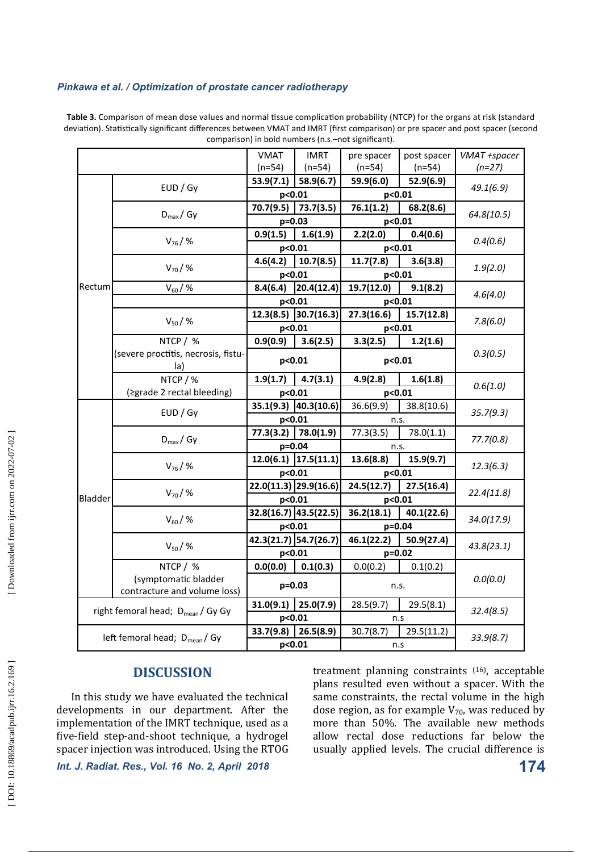|                                               |                                     | <b>VMAT</b>                        | <b>IMRT</b>                       | pre spacer               | post spacer             | VMAT +spacer |  |
|-----------------------------------------------|-------------------------------------|------------------------------------|-----------------------------------|--------------------------|-------------------------|--------------|--|
|                                               |                                     | $(n=54)$                           | $(n=54)$                          | $(n=54)$                 | $(n=54)$                | $(n=27)$     |  |
|                                               | EUD / Gy                            | 53.9(7.1)                          | 58.9(6.7)                         | 59.9(6.0)                | 52.9(6.9)               | 49.1(6.9)    |  |
|                                               |                                     | p<0.01                             |                                   | p<0.01                   |                         |              |  |
|                                               | $D_{\text{max}}/Gy$                 | 70.7(9.5)                          | 73.7(3.5)                         | 76.1(1.2)                | 68.2(8.6)               | 64.8(10.5)   |  |
|                                               |                                     | p=0.03                             |                                   | p<0.01                   |                         |              |  |
|                                               | $V_{76}$ /%                         | 0.9(1.5)                           | 1.6(1.9)                          | 2.2(2.0)                 | 0.4(0.6)                | 0.4(0.6)     |  |
|                                               |                                     | p<0.01                             |                                   | p<0.01                   |                         |              |  |
|                                               | $V_{70}$ / %                        | 4.6(4.2)                           | 10.7(8.5)                         | 11.7(7.8)                | 3.6(3.8)                | 1.9(2.0)     |  |
|                                               |                                     | p<0.01                             |                                   | p<0.01                   |                         |              |  |
| Rectum                                        | $V_{60}$ /%                         | 8.4(6.4)                           | 20.4(12.4)                        | 19.7(12.0)               | 9.1(8.2)                | 4.6(4.0)     |  |
|                                               |                                     | p<0.01                             |                                   | p<0.01                   |                         |              |  |
|                                               | $V_{50}$ / %                        | 12.3(8.5)                          | 30.7(16.3)                        | 27.3(16.6)               | 15.7(12.8)              | 7.8(6.0)     |  |
|                                               |                                     | p<0.01                             |                                   | p<0.01                   |                         |              |  |
|                                               | NTCP / %                            | 0.9(0.9)                           | 3.6(2.5)                          | 3.3(2.5)                 | 1.2(1.6)                |              |  |
|                                               | (severe proctitis, necrosis, fistu- | p<0.01                             |                                   | p<0.01                   |                         | 0.3(0.5)     |  |
|                                               | la)                                 |                                    |                                   |                          |                         |              |  |
|                                               | NTCP / %                            | 1.9(1.7)                           | 4.7(3.1)                          | 4.9(2.8)                 | 1.6(1.8)                | 0.6(1.0)     |  |
|                                               | (≥grade 2 rectal bleeding)          | p<0.01                             |                                   | p<0.01                   |                         |              |  |
|                                               | EUD / Gy                            | 35.1(9.3) 40.3(10.6)               |                                   | 36.6(9.9)<br>38.8(10.6)  |                         | 35.7(9.3)    |  |
|                                               |                                     | p<0.01                             |                                   | n.s.                     |                         |              |  |
|                                               | $D_{\text{max}}/Gy$                 | 77.3(3.2)                          | 78.0(1.9)                         | 77.3(3.5)                | 78.0(1.1)               | 77.7(0.8)    |  |
|                                               |                                     | p=0.04                             |                                   | n.s.                     |                         |              |  |
|                                               | $V_{76}$ / %                        |                                    | $\overline{12.0(6.1)}$ 17.5(11.1) | 13.6(8.8)                | 15.9(9.7)               | 12.3(6.3)    |  |
|                                               |                                     | p<0.01                             |                                   | p<0.01                   |                         |              |  |
|                                               | $V_{70}$ / %                        | $\overline{22.0(11.3)}$ 29.9(16.6) |                                   | 24.5(12.7)               | 27.5(16.4)              | 22.4(11.8)   |  |
| Bladder                                       |                                     | p<0.01                             |                                   | p<0.01                   |                         |              |  |
|                                               | $V_{60}$ / %                        | 32.8(16.7) 43.5(22.5)              |                                   | 36.2(18.1)<br>40.1(22.6) |                         | 34.0(17.9)   |  |
|                                               |                                     | p<0.01                             |                                   | p=0.04                   |                         |              |  |
|                                               | $V_{50}$ / %                        | 42.3(21.7) 54.7(26.7)              |                                   | 46.1(22.2)               | 50.9(27.4)              | 43.8(23.1)   |  |
|                                               |                                     | p<0.01                             |                                   | $p=0.02$                 |                         |              |  |
|                                               | NTCP / %                            | 0.0(0.0)                           | 0.1(0.3)                          | 0.0(0.2)                 | 0.1(0.2)                |              |  |
|                                               | (symptomatic bladder                | $p=0.03$                           |                                   | n.s.                     |                         | 0.0(0.0)     |  |
| contracture and volume loss)                  |                                     |                                    |                                   |                          |                         |              |  |
| right femoral head; D <sub>mean</sub> / Gy Gy |                                     | 31.0(9.1)                          | 25.0(7.9)                         | 28.5(9.7)                | 29.5(8.1)               | 32.4(8.5)    |  |
|                                               |                                     | p<0.01                             |                                   | n.s                      |                         |              |  |
| left femoral head; D <sub>mean</sub> / Gy     |                                     | 33.7(9.8)<br>26.5(8.9)             |                                   | 30.7(8.7)                | 29.5(11.2)<br>33.9(8.7) |              |  |
|                                               |                                     | p<0.01                             |                                   | n.s                      |                         |              |  |

Table 3. Comparison of mean dose values and normal tissue complication probability (NTCP) for the organs at risk (standard deviation). Statistically significant differences between VMAT and IMRT (first comparison) or pre spacer and post spacer (second comparison) in bold numbers (n.s.–not significant).

## **DISCUSSION**

In this study we have evaluated the technical developments in our department. After the implementation of the IMRT technique, used as a five-field step-and-shoot technique, a hydrogel spacer injection was introduced. Using the RTOG

*Int. J. Radiat. Res., Vol. 16 No. 2, April 2018* **174**

treatment planning constraints <sup>(16)</sup>, acceptable plans resulted even without a spacer. With the same constraints, the rectal volume in the high dose region, as for example  $V_{70}$ , was reduced by more than 50%. The available new methods allow rectal dose reductions far below the usually applied levels. The crucial difference is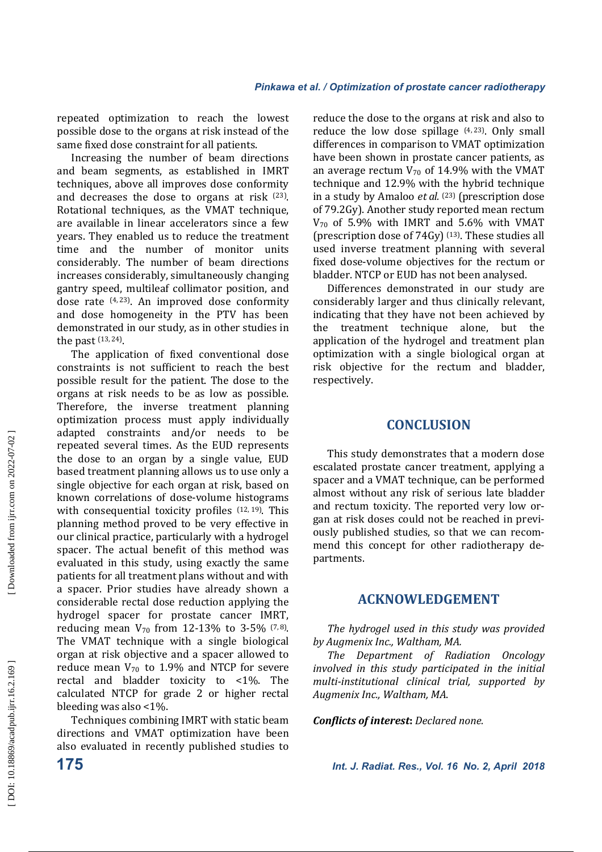repeated optimization to reach the lowest possible dose to the organs at risk instead of the same fixed dose constraint for all patients.

Increasing the number of beam directions and beam segments, as established in IMRT techniques, above all improves dose conformity and decreases the dose to organs at risk  $(23)$ . Rotational techniques, as the VMAT technique, are available in linear accelerators since a few vears. They enabled us to reduce the treatment time and the number of monitor units considerably. The number of beam directions increases considerably, simultaneously changing gantry speed, multileaf collimator position, and dose rate  $(4, 23)$ . An improved dose conformity and dose homogeneity in the PTV has been demonstrated in our study, as in other studies in the past  $(13, 24)$ .

The application of fixed conventional dose constraints is not sufficient to reach the best possible result for the patient. The dose to the organs at risk needs to be as low as possible. Therefore, the inverse treatment planning optimization process must apply individually adapted constraints and/or needs to be repeated several times. As the EUD represents the dose to an organ by a single value, EUD based treatment planning allows us to use only a single objective for each organ at risk, based on known correlations of dose-volume histograms with consequential toxicity profiles  $(12, 19)$ . This planning method proved to be very effective in our clinical practice, particularly with a hydrogel spacer. The actual benefit of this method was evaluated in this study, using exactly the same patients for all treatment plans without and with a spacer. Prior studies have already shown a considerable rectal dose reduction applying the hydrogel spacer for prostate cancer IMRT, reducing mean  $V_{70}$  from 12-13% to 3-5%  $(7,8)$ . The VMAT technique with a single biological organ at risk objective and a spacer allowed to reduce mean  $V_{70}$  to 1.9% and NTCP for severe rectal and bladder toxicity to  $\lt 1\%$ . The calculated NTCP for grade 2 or higher rectal bleeding was also  $<1\%$ .

Techniques combining IMRT with static beam directions and VMAT optimization have been also evaluated in recently published studies to

. in a study by Amaloo *et al.* <sup>(23)</sup> (prescription dose reduce the dose to the organs at risk and also to reduce the low dose spillage  $(4, 23)$ . Only small differences in comparison to VMAT optimization have been shown in prostate cancer patients, as an average rectum  $V_{70}$  of 14.9% with the VMAT technique and 12.9% with the hybrid technique of 79.2Gy). Another study reported mean rectum  $V_{70}$  of 5.9% with IMRT and 5.6% with VMAT (prescription dose of  $74Gy$ )  $^{(13)}$ . These studies all used inverse treatment planning with several fixed dose-volume objectives for the rectum or bladder. NTCP or EUD has not been analysed.

Differences demonstrated in our study are considerably larger and thus clinically relevant, indicating that they have not been achieved by the treatment technique alone, but the application of the hydrogel and treatment plan optimization with a single biological organ at risk objective for the rectum and bladder, respectively. 

## **CONCLUSION**

This study demonstrates that a modern dose escalated prostate cancer treatment, applying a spacer and a VMAT technique, can be performed almost without any risk of serious late bladder and rectum toxicity. The reported very low organ at risk doses could not be reached in previously published studies, so that we can recommend this concept for other radiotherapy departments. 

## **ACKNOWLEDGEMENT**

The hydrogel used in this study was provided by Augmenix Inc., Waltham, MA.

The Department of Radiation Oncology *involved* in this study participated in the initial *multi-institutional clinical trial, supported by*  Augmenix Inc., Waltham, MA.

*Conflicts of interest: Declared none.*